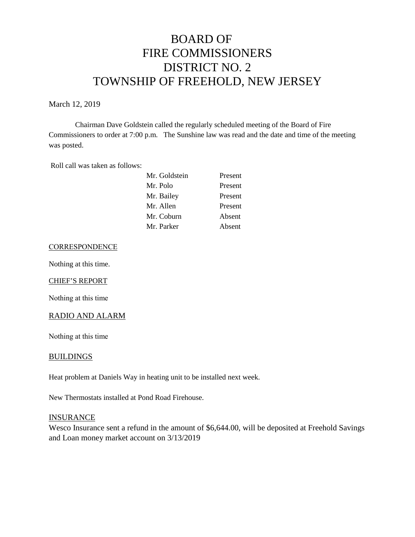# BOARD OF FIRE COMMISSIONERS DISTRICT NO. 2 TOWNSHIP OF FREEHOLD, NEW JERSEY

March 12, 2019

Chairman Dave Goldstein called the regularly scheduled meeting of the Board of Fire Commissioners to order at 7:00 p.m. The Sunshine law was read and the date and time of the meeting was posted.

Roll call was taken as follows:

| Mr. Goldstein | Present |
|---------------|---------|
| Mr. Polo      | Present |
| Mr. Bailey    | Present |
| Mr. Allen     | Present |
| Mr. Coburn    | Absent  |
| Mr. Parker    | Absent  |

#### **CORRESPONDENCE**

Nothing at this time.

#### CHIEF'S REPORT

Nothing at this time

#### RADIO AND ALARM

Nothing at this time

## BUILDINGS

Heat problem at Daniels Way in heating unit to be installed next week.

New Thermostats installed at Pond Road Firehouse.

#### INSURANCE

Wesco Insurance sent a refund in the amount of \$6,644.00, will be deposited at Freehold Savings and Loan money market account on 3/13/2019